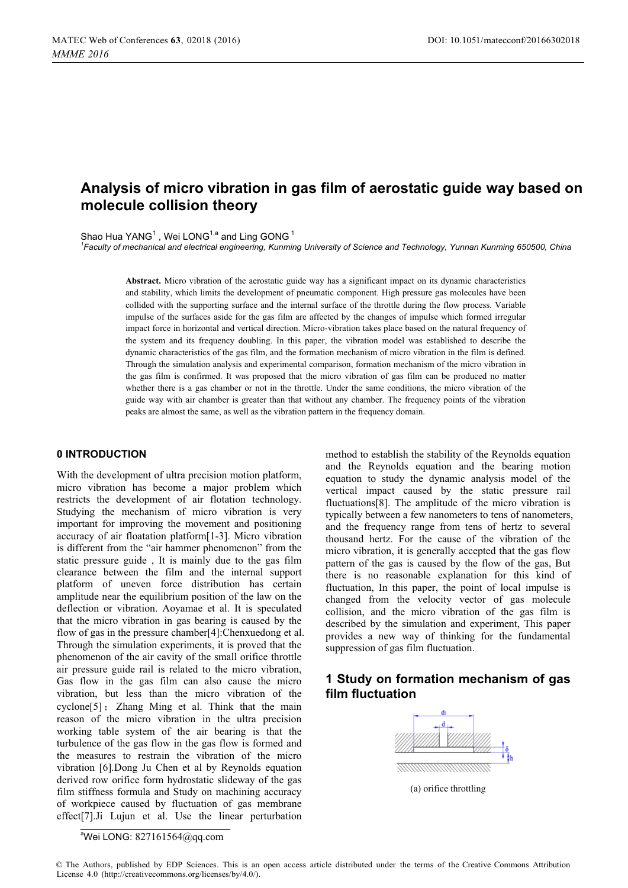# **Analysis of micro vibration in gas film of aerostatic guide way based on molecule collision theory**

Shao Hua YANG<sup>1</sup>, Wei LONG<sup>1,a</sup> and Ling GONG<sup>1</sup>

*1 Faculty of mechanical and electrical engineering, Kunming University of Science and Technology, Yunnan Kunming 650500, China* 

**Abstract.** Micro vibration of the aerostatic guide way has a significant impact on its dynamic characteristics and stability, which limits the development of pneumatic component. High pressure gas molecules have been collided with the supporting surface and the internal surface of the throttle during the flow process. Variable impulse of the surfaces aside for the gas film are affected by the changes of impulse which formed irregular impact force in horizontal and vertical direction. Micro-vibration takes place based on the natural frequency of the system and its frequency doubling. In this paper, the vibration model was established to describe the dynamic characteristics of the gas film, and the formation mechanism of micro vibration in the film is defined. Through the simulation analysis and experimental comparison, formation mechanism of the micro vibration in the gas film is confirmed. It was proposed that the micro vibration of gas film can be produced no matter whether there is a gas chamber or not in the throttle. Under the same conditions, the micro vibration of the guide way with air chamber is greater than that without any chamber. The frequency points of the vibration peaks are almost the same, as well as the vibration pattern in the frequency domain.

### **0 INTRODUCTION**

With the development of ultra precision motion platform, micro vibration has become a major problem which restricts the development of air flotation technology. Studying the mechanism of micro vibration is very important for improving the movement and positioning accuracy of air floatation platform[1-3]. Micro vibration is different from the "air hammer phenomenon" from the static pressure guide , It is mainly due to the gas film clearance between the film and the internal support platform of uneven force distribution has certain amplitude near the equilibrium position of the law on the deflection or vibration. Aoyamae et al. It is speculated that the micro vibration in gas bearing is caused by the flow of gas in the pressure chamber[4]:Chenxuedong et al. Through the simulation experiments, it is proved that the phenomenon of the air cavity of the small orifice throttle air pressure guide rail is related to the micro vibration, Gas flow in the gas film can also cause the micro vibration, but less than the micro vibration of the  $cyclone[5]$ ; Zhang Ming et al. Think that the main reason of the micro vibration in the ultra precision working table system of the air bearing is that the turbulence of the gas flow in the gas flow is formed and the measures to restrain the vibration of the micro vibration [6].Dong Ju Chen et al by Reynolds equation derived row orifice form hydrostatic slideway of the gas film stiffness formula and Study on machining accuracy of workpiece caused by fluctuation of gas membrane effect[7].Ji Lujun et al. Use the linear perturbation

method to establish the stability of the Reynolds equation and the Reynolds equation and the bearing motion equation to study the dynamic analysis model of the vertical impact caused by the static pressure rail fluctuations[8]. The amplitude of the micro vibration is typically between a few nanometers to tens of nanometers, and the frequency range from tens of hertz to several thousand hertz. For the cause of the vibration of the micro vibration, it is generally accepted that the gas flow pattern of the gas is caused by the flow of the gas, But there is no reasonable explanation for this kind of fluctuation, In this paper, the point of local impulse is changed from the velocity vector of gas molecule collision, and the micro vibration of the gas film is described by the simulation and experiment, This paper provides a new way of thinking for the fundamental suppression of gas film fluctuation.

# **1 Study on formation mechanism of gas film fluctuation**



(a) orifice throttling

a Wei LONG: [827161564@qq.com](mailto:827161564@qq.com) 

<sup>©</sup> The Authors, published by EDP Sciences. This is an open access article distributed under the terms of the Creative Commons Attribution License 4.0 ([http://creativecommons.org/licenses/by/4.0/\).](http://creativecommons.org/licenses/by/4.0/)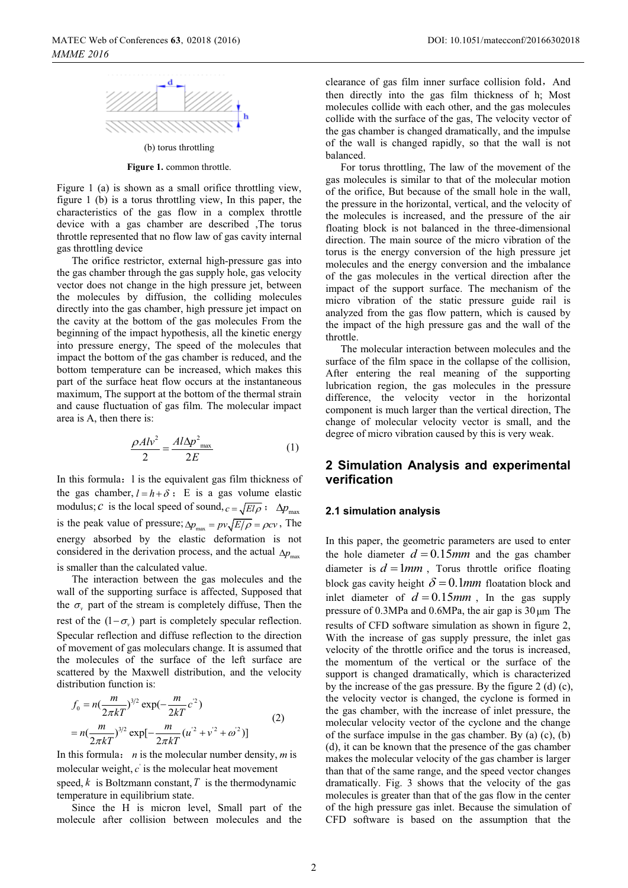(b) torus throttling **Figure 1.** common throttle.

Figure 1 (a) is shown as a small orifice throttling view,

figure 1 (b) is a torus throttling view, In this paper, the characteristics of the gas flow in a complex throttle device with a gas chamber are described ,The torus throttle represented that no flow law of gas cavity internal gas throttling device

The orifice restrictor, external high-pressure gas into the gas chamber through the gas supply hole, gas velocity vector does not change in the high pressure jet, between the molecules by diffusion, the colliding molecules directly into the gas chamber, high pressure jet impact on the cavity at the bottom of the gas molecules From the beginning of the impact hypothesis, all the kinetic energy into pressure energy, The speed of the molecules that impact the bottom of the gas chamber is reduced, and the bottom temperature can be increased, which makes this part of the surface heat flow occurs at the instantaneous maximum, The support at the bottom of the thermal strain and cause fluctuation of gas film. The molecular impact area is A, then there is:

$$
\frac{\rho A l v^2}{2} = \frac{A l \Delta p^2_{\text{max}}}{2E} \tag{1}
$$

In this formula: 1 is the equivalent gas film thickness of the gas chamber,  $l = h + \delta$ ; E is a gas volume elastic modulus; *c* is the local speed of sound,  $c = \sqrt{E l \rho}$ ;  $\Delta p_{\text{max}}$ is the peak value of pressure;  $\Delta p_{\text{max}} = pv \sqrt{E/\rho} = \rho c v$ , The energy absorbed by the elastic deformation is not considered in the derivation process, and the actual  $\Delta p_{\text{max}}$ is smaller than the calculated value.

The interaction between the gas molecules and the wall of the supporting surface is affected, Supposed that the  $\sigma_{\nu}$  part of the stream is completely diffuse, Then the rest of the  $(1 - \sigma_v)$  part is completely specular reflection. Specular reflection and diffuse reflection to the direction of movement of gas moleculars change. It is assumed that the molecules of the surface of the left surface are scattered by the Maxwell distribution, and the velocity distribution function is:

$$
f_0 = n\left(\frac{m}{2\pi kT}\right)^{3/2} \exp\left(-\frac{m}{2kT}c^2\right)
$$
  
=  $n\left(\frac{m}{2\pi kT}\right)^{3/2} \exp\left[-\frac{m}{2\pi kT}(u^2 + v^2 + \omega^2)\right]$  (2)

In this formula: *n* is the molecular number density, *m* is molecular weight,  $c'$  is the molecular heat movement speed,  $k$  is Boltzmann constant,  $T$  is the thermodynamic temperature in equilibrium state.

Since the H is micron level, Small part of the molecule after collision between molecules and the

clearance of gas film inner surface collision fold, And then directly into the gas film thickness of h; Most molecules collide with each other, and the gas molecules collide with the surface of the gas, The velocity vector of the gas chamber is changed dramatically, and the impulse of the wall is changed rapidly, so that the wall is not balanced.

For torus throttling, The law of the movement of the gas molecules is similar to that of the molecular motion of the orifice, But because of the small hole in the wall, the pressure in the horizontal, vertical, and the velocity of the molecules is increased, and the pressure of the air floating block is not balanced in the three-dimensional direction. The main source of the micro vibration of the torus is the energy conversion of the high pressure jet molecules and the energy conversion and the imbalance of the gas molecules in the vertical direction after the impact of the support surface. The mechanism of the micro vibration of the static pressure guide rail is analyzed from the gas flow pattern, which is caused by the impact of the high pressure gas and the wall of the throttle.

The molecular interaction between molecules and the surface of the film space in the collapse of the collision, After entering the real meaning of the supporting lubrication region, the gas molecules in the pressure difference, the velocity vector in the horizontal component is much larger than the vertical direction, The change of molecular velocity vector is small, and the degree of micro vibration caused by this is very weak.

# **2 Simulation Analysis and experimental verification**

#### **2.1 simulation analysis**

In this paper, the geometric parameters are used to enter the hole diameter  $d = 0.15$ mm and the gas chamber diameter is  $d = 1$ *mm*, Torus throttle orifice floating block gas cavity height  $\delta = 0.1$ *mm* floatation block and inlet diameter of  $d = 0.15$  mm, In the gas supply pressure of 0.3MPa and 0.6MPa, the air gap is  $30 \mu m$  The results of CFD software simulation as shown in figure 2, With the increase of gas supply pressure, the inlet gas velocity of the throttle orifice and the torus is increased, the momentum of the vertical or the surface of the support is changed dramatically, which is characterized by the increase of the gas pressure. By the figure 2 (d) (c), the velocity vector is changed, the cyclone is formed in the gas chamber, with the increase of inlet pressure, the molecular velocity vector of the cyclone and the change of the surface impulse in the gas chamber. By (a) (c), (b) (d), it can be known that the presence of the gas chamber makes the molecular velocity of the gas chamber is larger than that of the same range, and the speed vector changes dramatically. Fig. 3 shows that the velocity of the gas molecules is greater than that of the gas flow in the center of the high pressure gas inlet. Because the simulation of CFD software is based on the assumption that the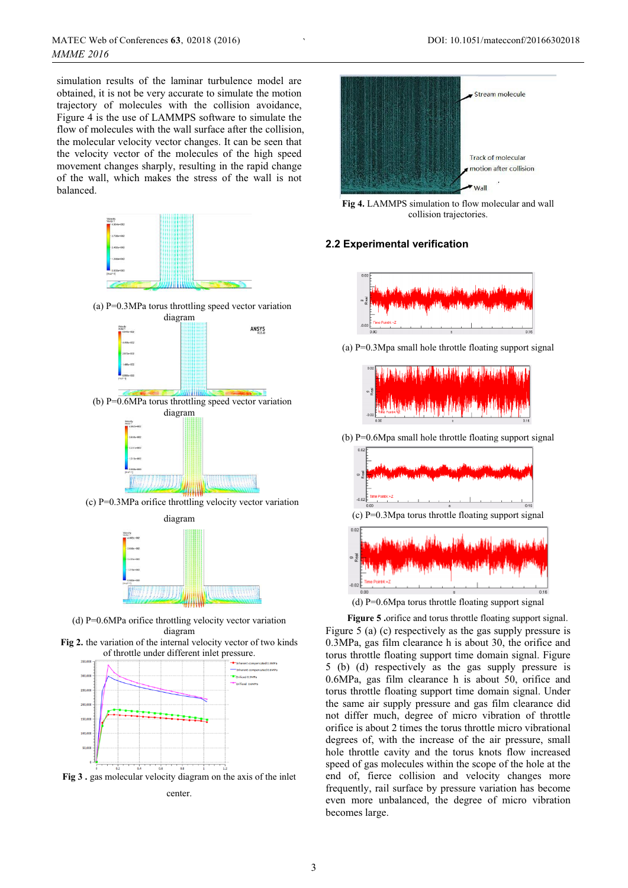simulation results of the laminar turbulence model are obtained, it is not be very accurate to simulate the motion trajectory of molecules with the collision avoidance, Figure 4 is the use of LAMMPS software to simulate the flow of molecules with the wall surface after the collision, the molecular velocity vector changes. It can be seen that the velocity vector of the molecules of the high speed movement changes sharply, resulting in the rapid change of the wall, which makes the stress of the wall is not balanced.



(c) P=0.3MPa orifice throttling velocity vector variation



(d) P=0.6MPa orifice throttling velocity vector variation diagram





**Fig 3 .** gas molecular velocity diagram on the axis of the inlet center.



**Fig 4.** LAMMPS simulation to flow molecular and wall collision trajectories.

# **2.2 Experimental verification**

`



(a)  $P=0.3Mpa$  small hole throttle floating support signal



(b) P=0.6Mpa small hole throttle floating support signal  $(c)$  P=0.3Mpa torus throttle floating support signal

(d) P=0.6Mpa torus throttle floating support signal

**Figure 5 .**orifice and torus throttle floating support signal. Figure 5 (a) (c) respectively as the gas supply pressure is 0.3MPa, gas film clearance h is about 30, the orifice and torus throttle floating support time domain signal. Figure 5 (b) (d) respectively as the gas supply pressure is 0.6MPa, gas film clearance h is about 50, orifice and torus throttle floating support time domain signal. Under the same air supply pressure and gas film clearance did not differ much, degree of micro vibration of throttle orifice is about 2 times the torus throttle micro vibrational degrees of, with the increase of the air pressure, small hole throttle cavity and the torus knots flow increased speed of gas molecules within the scope of the hole at the end of, fierce collision and velocity changes more frequently, rail surface by pressure variation has become even more unbalanced, the degree of micro vibration becomes large.